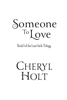# Someone <sup>To</sup>Love

Book 1 of the Lost Girls Trilogy

## CHERYL HOLT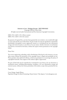#### *Someone to Love* **- Prologue Excerpt - NOT FOR SALE**

Copyright 2020 by Cheryl Holt All rights reserved under International and Pan-American Copyright Conventions.

ISBN: 978-1-64871-195-4 (Print version) ISBN: 978-1-64871-193-0 (E-version)

By payment of required fees, you have been granted the non-exclusive, non-transferrable right to access and read the text of this book. No part of this text may be reproduced, transmitted, downloaded, decompiled, reverse engineered, stored in, or introduced into any information storage and retrieval system, in any form or by any means, whether electronic or mechanical, now known or invented in the future, without the express written permission or the copyright holder.

Please Note

The reverse engineering, uploading, and/or distributing of this book via the internet or via any other means without the permission of the copyright owner is illegal and punishable by law. Please purchase only authorized editions, and do not participate in or encourage the piracy of copyrighted materials. Your support of the author's rights is appreciated.

No part of this book may be reproduced or transmitted in any form or by any electronic or mechanical means, including photocopying, recording, or by any information storage and retrieval system, without the written permission of the author, except where permitted by law.

Thank you.

Cover Design: Angela Waters Paperback Design & eBook Formatting: Dayna Linton • Day Agency • www.dayagency.com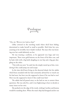### Prologue M

"OH, MY. WOULD YOU look at that?"

Libby cowered in the traveling trunk where she'd been hiding, determined to make herself as small as possible. She'd shut her eyes, yearning to be invisible, but it hadn't worked. The man who was looming over her could definitely see her.

He was wearing a uniform, so he appeared very large and very important. There were gold buttons on the front of his blue coat, and he had a belt with a big knife dangling on one hip and a big gun dangling on the other.

"Out with you now," he said, but she simply stared up at him, wondering if she could jump out and escape.

In the time she'd been living on the deserted island, the few adults who'd been stranded with her had constantly advised her to watch out for bad men, but how was she supposed to know if he was bad or not? How was she supposed to know if she could trust him?

The adults had all passed away, so she had no one to answer those questions. She was only five, and it was frightening to have to decide so many issues on her own.

She peeked over the edge of the trunk, wishing Caroline and Joanna would be standing there. When the man's ship had dropped anchor out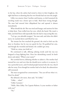in the bay, when the sailors had rowed to shore in their longboat, the sight had been so alarming that her two friends had run into the jungle.

Libby was smarter than Caroline and Joanna, so she'd assumed the traveling trunk was a better spot to hide. She'd been wrong though. The man had entered their dilapidated hut and opened it almost immediately.

What should she do? She was tired and hungry and anxious for him to help them. Tears welled into her eyes, which she hated. She wasn't a baby, and she'd been told repeatedly that she had to stop acting like one.

"Let's go, you adorable moppet," the man said, and when she didn't move, he reached down and lifted her out.

The instant her feet touched the ground, she tried to bolt out the door to freedom, but he was too quick for her. He grabbed her arm, and though she wrestled and kicked, she couldn't get away.

"Hold on, missy, just hold on."

He continued to talk, offering calming words until she was too fatigued to keep fighting him. Once her skirmishing ceased, he knelt down and asked, "What's your name?"

She scowled forever, debating whether to admit it. Her mother had warned her over and over that she should never confess it to anyone. It was a powerful secret, and if wicked people learned who she was, they'd take her away. Even though her mother had to be dead, the admonition still resonated.

The man recognized her consternation. "You can tell me what it is. Don't be afraid."

She debated a bit more, then said, "It's Libby."

"Libby . . .what?"

"Libby Carstairs."

"Hello, Miss Libby. I'm Captain Ralston. Is your mother or father with you?"

"No."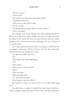### CHERYL HOLT 3

"Where are they?" "I don't know." "Do you have any idea what happened to them?" "I think they drowned." "Were you on a ship? Did it sink?" "Yes. In a storm." "I'm betting that was scary. Did you swim to shore?" "I don't remember."

She thought she'd swum though. She had terrifying dreams of huge waves, dark water, angry clouds, and wind. For ages afterward, the palms of her hands had been sore and blistered, and she recalled gripping a piece of wood, loud voices shouting at her not to let go of it, and she hadn't.

The Captain glanced around the hut, assessing the crude beds, the ramshackle construction. They'd carried on the best they could with what they'd had, but it hadn't been much.

"Are there any adults with you?"

"No."

"Were there some in the beginning?"

"Yes."

"How many?"

"There were six, but they died."

"How?"

"They were hurt."

"When the ship sank?"

"Yes. Then they got sick."

"How long have you been here?"

She leaned in so they were nose to nose. "For a really, really long time."

She didn't have a number to explain how many days it had been. At first, Joanna's mother had survived with them, and she'd counted to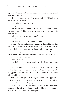eighty-five, but after she'd cut her leg on a tree stump and had passed away, they'd lost track.

"Gad, but aren't you pretty?" he murmured. "You'll break some hearts when you grow up."

"That's what my papa always said."

"Your papa was right."

He stood and patted the top of her head, and the gesture made her feel safer. She didn't think he was a bad man, so he might agree to fix what was wrong.

"What was your papa's name, peanut?" he asked her.

"Papa?"

He snorted at that. "What about your mother?"

"Mama?" She frowned and posed a question that had been vexing her. "Could you find them for me? If they didn't drown, I'm worried they might be searching for me, but they don't know where I am."

"I will assist you as much as I can, but you shouldn't hope we'll locate your parents. I'm sorry, but I doubt you'll see them ever again."

"Maybe in Heaven someday?"

"Maybe in Heaven."

He sighed, and from outside, a sailor called, "Captain, would you come out? I have a surprise to show you."

On being summoned, he walked out, but he kept a hand on Libby's shoulder so she couldn't flee, but she'd decided she wouldn't. He appeared incredibly commanding to her, so he'd be able to tell her what should occur next.

Perhaps she could go home to England. She'd been happy there. At least she *thought* she'd been happy. She seemed to recollect a large mansion, a kind nanny, and a pony.

The sailor had stumbled on Caroline and Joanna where they'd been crouched in the foliage. Caroline shrugged at Libby, as if to admit their plan to hide in the jungle had been stupid.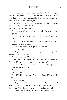### CHERYL HOLT 5

Libby supposed they were a fearsome sight. Their hair was long and tangled, bleached blond from the hot sun, their dresses bleached too, the fabric worn thin and faded to white. They were barefoot, their skin bronzed, their condition bedraggled.

"Look what I found," the sailor said to the Captain. He indicated Caroline and Joanna. "They're all alone, and apparently, they've been living like a pack of wild animals."

"No, we haven't!" Libby furiously insisted. "We have a hut and everything."

The sailor ignored her and addressed the Captain. "They're like a trio of abandoned wolf pups."

"We had mothers!" Libby huffed. "It's not our fault that they died." But she was ignored again.

"Are there any others?" the Captain asked the sailor.

"Not that we saw."

The Captain peered down at her. "Is it just the three of you? And don't lie to me. This is important."

"There's just us three," Libby said.

"Lord almighty," he muttered as he led Libby over to Caroline and Joanna. "Will you introduce me to your companions?"

"This is Caroline"—Libby pointed to her—"and this is Joanna."

"Are you sisters?" he asked.

" $No.$ "

"None of you?"

"No. We're like sisters though," Libby told him. "We're closer than sisters."

"I'm sure you are."

The Captain studied their surroundings. The sky was so blue, the ocean a brilliant turquoise color, the sand blazing under the sun's unrelenting rays. The palm trees swayed but provided no real shade.

"What shall we do with them, Captain?" the sailor inquired.